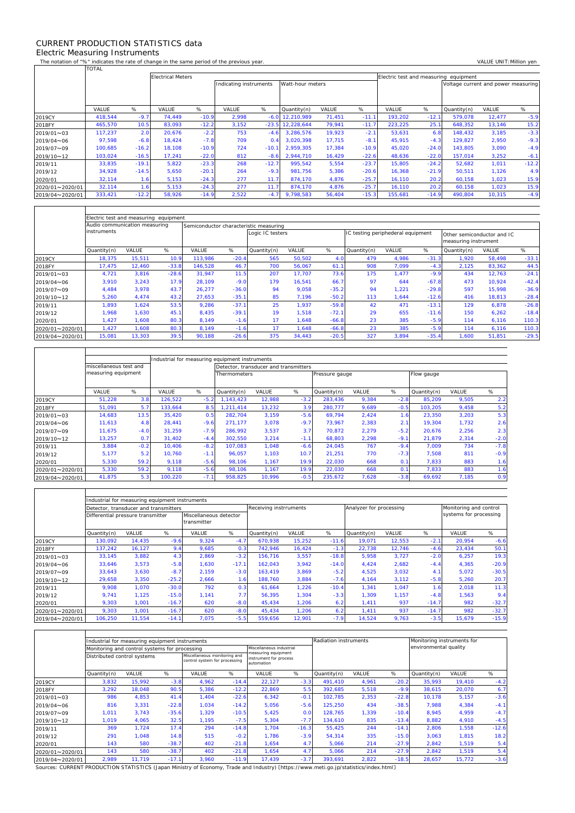## CURRENT PRODUCTION STATISTICS data Electric Measuring Instruments

 $\Gamma$ 

 $\mathbf{r}$ 

 $\overline{\mathsf{T}}$ 

┑

٦

The notation of "%" indicates the rate of change in the same period of the previous year. VALUE UNIT:Million yen<br>TOTAL TOTAL

|                 |         | <b>Electrical Meters</b> |        |         |                        |         |                  |        |         |         | Electric test and measuring equipment |                                     |        |         |  |  |  |
|-----------------|---------|--------------------------|--------|---------|------------------------|---------|------------------|--------|---------|---------|---------------------------------------|-------------------------------------|--------|---------|--|--|--|
|                 |         |                          |        |         | Indicating instruments |         | Watt-hour meters |        |         |         |                                       | Voltage current and power measuring |        |         |  |  |  |
|                 |         |                          |        |         |                        |         |                  |        |         |         |                                       |                                     |        |         |  |  |  |
|                 |         |                          |        |         |                        |         |                  |        |         |         |                                       |                                     |        |         |  |  |  |
|                 | VALUE   | %                        | VALUE  | %       | VALUE                  | %       | Quantity(n)      | VALUE  | %       | VALUE   | %                                     | Quantity(n)                         | VALUE  | %       |  |  |  |
| 2019CY          | 418.544 | $-9.7$                   | 74.449 | $-10.9$ | 2.998                  | $-6.0$  | 12.210.989       | 71,451 | $-11.1$ | 193.202 | $-12.1$                               | 579,078                             | 12,477 | $-5.9$  |  |  |  |
| 2018FY          | 465,570 | 10.5                     | 83,093 | $-12.2$ | 3.152                  | $-23.5$ | 12,228,644       | 79,941 | $-11.7$ | 223.225 | 25.1                                  | 648,352                             | 13,146 | 15.2    |  |  |  |
| 2019/01~03      | 117.237 | 2.0                      | 20,676 | $-2.2$  | 753                    | $-4.6$  | 3.286.576        | 19,923 | $-2.1$  | 53,631  | 6.8                                   | 148.432                             | 3,185  | $-3.3$  |  |  |  |
| 2019/04~06      | 97,598  | $-6.8$                   | 18.424 | $-7.8$  | 709                    | 0.4     | 3.020.398        | 17,715 | $-8.1$  | 45.915  | $-4.3$                                | 129.827                             | 2,950  | $-9.3$  |  |  |  |
| 2019/07~09      | 100.685 | $-16.2$                  | 18.108 | $-10.9$ | 724                    | $-10.7$ | 2.959.305        | 17,384 | $-10.9$ | 45.020  | $-24.0$                               | 143.805                             | 3,090  | $-4.9$  |  |  |  |
| 2019/10~12      | 103,024 | $-16.5$                  | 17,241 | $-22.0$ | 812                    | $-8.6$  | 2,944,710        | 16,429 | $-22.6$ | 48,636  | $-22.0$                               | 157,014                             | 3,252  | $-6.1$  |  |  |  |
| 2019/11         | 33,835  | $-19.1$                  | 5,822  | $-23.3$ | 268                    | $-12.7$ | 995,542          | 5,554  | $-23.7$ | 15,805  | $-24.2$                               | 52,682                              | 1,011  | $-12.2$ |  |  |  |
| 2019/12         | 34,928  | $-14.5$                  | 5,650  | $-20.1$ | 264                    | $-9.3$  | 981.756          | 5,386  | $-20.6$ | 16,368  | $-21.9$                               | 50,511                              | 1,126  | 4.9     |  |  |  |
| 2020/01         | 32,114  | 1.6                      | 5,153  | $-24.3$ | 277                    | 11.7    | 874,170          | 4,876  | $-25.7$ | 16,110  | 20.2                                  | 60,158                              | 1,023  | 15.9    |  |  |  |
| 2020/01~2020/01 | 32,114  | 1.6                      | 5,153  | $-24.3$ | 277                    | 11.7    | 874,170          | 4,876  | $-25.7$ | 16,110  | 20.2                                  | 60,158                              | 1,023  | 15.9    |  |  |  |
| 2019/04~2020/01 | 333,421 | $-12.2$                  | 58,926 | $-14.9$ | 2,522                  | $-4.7$  | 9,798,583        | 56,404 | $-15.3$ | 155,681 | $-14.9$                               | 490,804                             | 10,315 | $-4.9$  |  |  |  |

|                 | Electric test and measuring equipment |        |         |                                        |         |                  |        |         |                                   |       |         |                                                    |        |         |  |  |
|-----------------|---------------------------------------|--------|---------|----------------------------------------|---------|------------------|--------|---------|-----------------------------------|-------|---------|----------------------------------------------------|--------|---------|--|--|
|                 | Audio communication measuring         |        |         | Semiconductor characteristic measuring |         |                  |        |         |                                   |       |         |                                                    |        |         |  |  |
|                 | <i>instruments</i>                    |        |         |                                        |         | Logic IC testers |        |         | IC testing periphederal equipment |       |         | Other semiconductor and IC<br>measuring instrument |        |         |  |  |
|                 | Quantity(n)                           | VALUE  | %       | VALUE                                  | %       | Quantity(n)      | VALUE  | %       | Quantity(n)                       | VALUE | %       | Quantity(n)                                        | VALUE  | %       |  |  |
| 2019CY          | 18,375                                | 15,511 | 10.9    | 113,986                                | $-20.4$ | 565              | 50,502 | 4.0     | 479                               | 4,986 | $-31.3$ | 1,920                                              | 58,498 | $-33.1$ |  |  |
| 2018FY          | 17.475                                | 12.460 | $-33.8$ | 146,528                                | 46.7    | 700              | 56,067 | 61.1    | 908                               | 7.099 | $-4.3$  | 2,125                                              | 83,362 | 44.5    |  |  |
| 2019/01~03      | 4.721                                 | 3.816  | $-28.6$ | 31.947                                 | 11.5    | 207              | 17.707 | 73.6    | 175                               | 1.477 | $-9.9$  | 434                                                | 12,763 | $-24.1$ |  |  |
| 2019/04~06      | 3.910                                 | 3.243  | 17.9    | 28.109                                 | $-9.0$  | 179              | 16.541 | 66.7    | 97                                | 644   | $-67.8$ | 473                                                | 10.924 | $-42.4$ |  |  |
| 2019/07~09      | 4.484                                 | 3.978  | 43.7    | 26.277                                 | $-36.0$ | 94               | 9.058  | $-35.2$ | 94                                | 1.221 | $-29.8$ | 597                                                | 15.998 | $-36.9$ |  |  |
| 2019/10~12      | 5,260                                 | 4.474  | 43.2    | 27.653                                 | $-35.1$ | 85               | 7.196  | $-50.2$ | 113                               | 1.644 | $-12.6$ | 416                                                | 18,813 | $-28.4$ |  |  |
| 2019/11         | .893                                  | 1,624  | 53.5    | 9.286                                  | $-37.1$ | 25               | 1.937  | $-59.8$ | 42                                | 471   | $-13.7$ | 129                                                | 6,878  | $-26.8$ |  |  |
| 2019/12         | 1.968                                 | 1,630  | 45.7    | 8.435                                  | $-39.1$ | 19               | 1.518  | $-72.1$ | 29                                | 655   | $-11.6$ | 150                                                | 6,262  | $-18.4$ |  |  |
| 2020/01         | ,427                                  | 1,608  | 80.3    | 8,149                                  | $-1.6$  | 17               | 1,648  | $-66.8$ | 23                                | 385   | $-5.9$  | 114                                                | 6,116  | 110.3   |  |  |
| 2020/01~2020/01 | ,427                                  | 1,608  | 80.3    | 8,149                                  | $-1.6$  | 17               | .648   | $-66.8$ | 23                                | 385   | $-5.9$  | 114                                                | 6,116  | 110.3   |  |  |
| 2019/04~2020/01 | 15,081                                | 13,303 | 39.5    | 90,188                                 | $-26.6$ | 375              | 34,443 | $-20.5$ | 327                               | 3,894 | $-35.4$ | 1,600                                              | 51,851 | $-29.5$ |  |  |

|                 |                        |        | Industrial for measuring equipment instruments |        |                                       |        |        |                |       |        |             |       |        |  |
|-----------------|------------------------|--------|------------------------------------------------|--------|---------------------------------------|--------|--------|----------------|-------|--------|-------------|-------|--------|--|
|                 | miscellaneous test and |        |                                                |        | Detector, transducer and transmitters |        |        |                |       |        |             |       |        |  |
|                 | measuring equipment    |        |                                                |        | Thermometers                          |        |        | Pressure gauge |       |        | Flow gauge  |       |        |  |
|                 | VALUE                  | %      | VALUE                                          | %      | Quantity(n)                           | VALUE  | %      | Quantity(n)    | VALUE | %      | Quantity(n) | VALUE | %      |  |
| 2019CY          | 51,228                 | 3.8    | 126.522                                        | $-5.2$ | 1.143.423                             | 12,988 | $-3.2$ | 283,436        | 9,384 | $-2.8$ | 85.209      | 9,505 | 2.2    |  |
| 2018FY          | 51,091                 | 5.7    | 133,664                                        | 8.5    | 1.211.414                             | 13,232 | 3.9    | 280.777        | 9,689 | $-0.5$ | 103.205     | 9,458 | 5.2    |  |
| 2019/01~03      | 14.683                 | 13.5   | 35.420                                         | 0.5    | 282.704                               | 3.159  | $-5.6$ | 69.794         | 2.424 | 1.6    | 23.350      | 3,203 | 5.3    |  |
| 2019/04~06      | 11,613                 | 4.8    | 28.441                                         | $-9.6$ | 271.177                               | 3,078  | $-9.7$ | 73.967         | 2,383 | 2.1    | 19.304      | 1,732 | 2.6    |  |
| 2019/07~09      | 11,675                 | $-4.0$ | 31.259                                         | $-7.9$ | 286.992                               | 3,537  | 3.7    | 70.872         | 2,279 | $-5.2$ | 20,676      | 2,256 | 2.3    |  |
| 2019/10~12      | 13,257                 | 0.7    | 31,402                                         | $-4.4$ | 302,550                               | 3,214  | $-1.1$ | 68,803         | 2,298 | $-9.1$ | 21.879      | 2,314 | $-2.0$ |  |
| 2019/11         | 3.884                  | $-0.2$ | 10.406                                         | $-8.2$ | 107.083                               | 1.048  | $-6.6$ | 24.045         | 767   | $-9.4$ | 7.009       | 734   | $-7.8$ |  |
| 2019/12         | 5,177                  | 5.2    | 10.760                                         | $-1.1$ | 96.057                                | 1.103  | 10.7   | 21.251         | 770   | $-7.3$ | 7.508       | 811   | $-0.9$ |  |
| 2020/01         | 5,330                  | 59.2   | 9.118                                          | $-5.6$ | 98.106                                | 1.167  | 19.9   | 22,030         | 668   | 0.1    | 7.833       | 883   | 1.6    |  |
| 2020/01~2020/01 | 5,330                  | 59.2   | 9.118                                          | $-5.6$ | 98,106                                | 1,167  | 19.9   | 22,030         | 668   | 0.1    | 7.833       | 883   | 1.6    |  |
| 2019/04~2020/01 | 41,875                 | 5.3    | 100,220                                        | $-7.1$ | 958,825                               | 10,996 | $-0.5$ | 235,672        | 7,628 | $-3.8$ | 69,692      | 7,185 | 0.9    |  |

|                 | Industrial for measuring equipment instruments |        |         |                                       |         |             |                        |         |             |                         |                        |        |         |
|-----------------|------------------------------------------------|--------|---------|---------------------------------------|---------|-------------|------------------------|---------|-------------|-------------------------|------------------------|--------|---------|
|                 | Detector, transducer and transmitters          |        |         |                                       |         |             | Receiving instrruments |         |             | Analyzer for processing | Monitoring and control |        |         |
|                 | Differential pressure transmitter              |        |         | Miscellaneous detector<br>transmitter |         |             |                        |         |             |                         | systems for processing |        |         |
|                 | Quantity(n)                                    | VALUE  | %       | VALUE                                 | %       | Quantity(n) | VALUE                  | %       | Quantity(n) | VALUE                   | %                      | VALUE  | %       |
| 2019CY          | 130.092                                        | 14,435 | $-9.6$  | 9.324                                 | $-4.7$  | 670.938     | 15,252                 | $-11.6$ | 19.071      | 12,553                  | $-2.1$                 | 20,954 | $-6.6$  |
| 2018FY          | 137.242                                        | 16,127 | 9.4     | 9,685                                 | 0.3     | 742.946     | 16,424                 | $-1.3$  | 22.738      | 12,746                  | $-4.6$                 | 23,434 | 50.1    |
| 2019/01~03      | 33,145                                         | 3,882  | 4.3     | 2,869                                 | $-3.2$  | 156.716     | 3,557                  | $-18.8$ | 5,958       | 3,727                   | $-2.0$                 | 6,257  | 19.3    |
| 2019/04~06      | 33,646                                         | 3,573  | $-5.8$  | 1.630                                 | $-17.1$ | 162.043     | 3,942                  | $-14.0$ | 4.424       | 2,682                   | $-4.4$                 | 4,365  | $-20.9$ |
| 2019/07~09      | 33,643                                         | 3,630  | $-8.7$  | 2.159                                 | $-3.0$  | 163.419     | 3,869                  | $-5.2$  | 4,525       | 3,032                   | 4.1                    | 5,072  | $-30.5$ |
| 2019/10~12      | 29,658                                         | 3,350  | $-25.2$ | 2,666                                 | 1.6     | 188.760     | 3,884                  | $-7.6$  | 4,164       | 3,112                   | $-5.8$                 | 5,260  | 20.7    |
| 2019/11         | 9,908                                          | 1,070  | $-30.0$ | 792                                   | 0.3     | 61,664      | 1,226                  | $-10.4$ | 1,341       | 1,047                   | 1.6                    | 2,018  | 11.3    |
| 2019/12         | 9,741                                          | 1,125  | $-15.0$ | 1.141                                 | 7.7     | 56,395      | 1,304                  | $-3.3$  | 1.309       | 1,157                   | $-4.8$                 | 1,563  | 9.4     |
| 2020/01         | 9,303                                          | 1,001  | $-16.7$ | 620                                   | $-8.0$  | 45,434      | 1,206                  | 6.2     | 1,411       | 937                     | $-14.7$                | 982    | $-32.7$ |
| 2020/01~2020/01 | 9,303                                          | 1,001  | $-16.7$ | 620                                   | $-8.0$  | 45,434      | 1,206                  | 6.2     | 1,411       | 937                     | $-14.7$                | 982    | $-32.7$ |
| 2019/04~2020/01 | 106,250                                        | 11,554 | $-14.1$ | 7,075                                 | $-5.5$  | 559,656     | 12,901                 | $-7.9$  | 14,524      | 9,763                   | $-3.5$                 | 15,679 | $-15.9$ |

|                 |                             | Industrial for measuring equipment instruments |         |                                                               |         | Radiation instruments                                       |         |             | Monitoring instruments for |         |                       |        |         |  |
|-----------------|-----------------------------|------------------------------------------------|---------|---------------------------------------------------------------|---------|-------------------------------------------------------------|---------|-------------|----------------------------|---------|-----------------------|--------|---------|--|
|                 |                             | Monitoring and control systems for processing  |         |                                                               |         | Miscellaneous industrial                                    |         |             |                            |         | environmental quality |        |         |  |
|                 | Distributed control systems |                                                |         | Miscellaneous monitoring and<br>control system for processing |         | measuring equipment<br>instrument for process<br>automation |         |             |                            |         |                       |        |         |  |
|                 | Quantity(n)                 | <b>VALUE</b>                                   | %       | VALUE                                                         | %       | VALUE                                                       | %       | Quantity(n) | VALUE                      | %       | Quantity(n)           | VALUE  | %       |  |
| 2019CY          | 3,832                       | 15,992                                         | $-3.8$  | 4,962                                                         | $-14.4$ | 22,127                                                      | $-3.3$  | 491.410     | 4,961                      | $-20.2$ | 35,993                | 19,410 | $-4.2$  |  |
| 2018FY          | 3,292                       | 18,048                                         | 90.5    | 5,386                                                         | $-12.2$ | 22,869                                                      | 5.5     | 392.685     | 5,518                      | $-9.9$  | 38,615                | 20,070 | 6.7     |  |
| 2019/01~03      | 986                         | 4.853                                          | 41.4    | 1.404                                                         | $-22.6$ | 6.342                                                       | $-0.1$  | 102.785     | 2,353                      | $-22.8$ | 10.178                | 5,157  | $-3.6$  |  |
| 2019/04~06      | 816                         | 3.331                                          | $-22.8$ | 1.034                                                         | $-14.2$ | 5.056                                                       | $-5.6$  | 125.250     | 434                        | $-38.5$ | 7.988                 | 4,384  | $-4.1$  |  |
| 2019/07~09      | 1,011                       | 3,743                                          | $-35.6$ | 1.329                                                         | $-10.5$ | 5,425                                                       | 0.0     | 128.765     | 1,339                      | $-10.4$ | 8,945                 | 4,959  | $-4.7$  |  |
| 2019/10~12      | 1,019                       | 4,065                                          | 32.5    | 1,195                                                         | $-7.5$  | 5,304                                                       | $-7.7$  | 134,610     | 835                        | $-13.4$ | 8,882                 | 4,910  | $-4.5$  |  |
| 2019/11         | 369                         | 1.724                                          | 17.4    | 294                                                           | $-14.8$ | 1.704                                                       | $-16.3$ | 55.425      | 244                        | $-14.1$ | 2,806                 | 1.558  | $-12.6$ |  |
| 2019/12         | 291                         | 1.048                                          | 14.8    | 515                                                           | $-0.2$  | 1.786                                                       | $-3.9$  | 54.314      | 335                        | $-15.0$ | 3.063                 | 1,815  | 18.2    |  |
| 2020/01         | 143                         | 580                                            | $-38.7$ | 402                                                           | $-21.8$ | 1,654                                                       | 4.7     | 5,066       | 214                        | $-27.9$ | 2,842                 | 1,519  | 5.4     |  |
| 2020/01~2020/01 | 143                         | 580                                            | $-38.7$ | 402                                                           | $-21.8$ | 1.654                                                       | 4.7     | 5.066       | 214                        | $-27.9$ | 2,842                 | 1,519  | 5.4     |  |
| 2019/04~2020/01 | 2,989                       | 11,719                                         | $-17.1$ | 3,960                                                         | $-11.9$ | 17.439                                                      | $-3.7$  | 393,691     | 2,822                      | $-18.5$ | 28,657                | 15,772 | $-3.6$  |  |

Sources: CURRENT PRODUCTION STATISTICS (Japan Ministry of Economy, Trade and Industry) 〔https://www.meti.go.jp/statistics/index.html〕